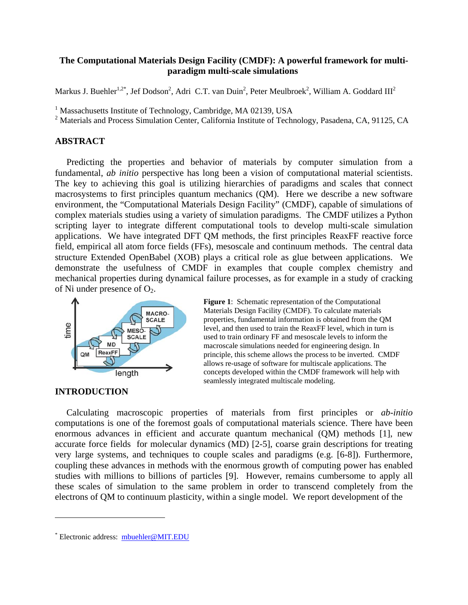# **The Computational Materials Design Facility (CMDF): A powerful framework for multiparadigm multi-scale simulations**

Markus J. Buehler<sup>1,2\*</sup>, Jef Dodson<sup>2</sup>, Adri C.T. van Duin<sup>2</sup>, Peter Meulbroek<sup>2</sup>, William A. Goddard III<sup>2</sup>

<sup>1</sup> Massachusetts Institute of Technology, Cambridge, MA 02139, USA

<sup>2</sup> Materials and Process Simulation Center, California Institute of Technology, Pasadena, CA, 91125, CA

#### **ABSTRACT**

 Predicting the properties and behavior of materials by computer simulation from a fundamental, *ab initio* perspective has long been a vision of computational material scientists. The key to achieving this goal is utilizing hierarchies of paradigms and scales that connect macrosystems to first principles quantum mechanics (QM). Here we describe a new software environment, the "Computational Materials Design Facility" (CMDF), capable of simulations of complex materials studies using a variety of simulation paradigms. The CMDF utilizes a Python scripting layer to integrate different computational tools to develop multi-scale simulation applications. We have integrated DFT QM methods, the first principles ReaxFF reactive force field, empirical all atom force fields (FFs), mesoscale and continuum methods. The central data structure Extended OpenBabel (XOB) plays a critical role as glue between applications. We demonstrate the usefulness of CMDF in examples that couple complex chemistry and mechanical properties during dynamical failure processes, as for example in a study of cracking of Ni under presence of  $O_2$ .



**Figure 1**: Schematic representation of the Computational Materials Design Facility (CMDF). To calculate materials properties, fundamental information is obtained from the QM level, and then used to train the ReaxFF level, which in turn is used to train ordinary FF and mesoscale levels to inform the macroscale simulations needed for engineering design. In principle, this scheme allows the process to be inverted. CMDF allows re-usage of software for multiscale applications. The concepts developed within the CMDF framework will help with seamlessly integrated multiscale modeling.

#### **INTRODUCTION**

 $\overline{a}$ 

 Calculating macroscopic properties of materials from first principles or *ab-initio* computations is one of the foremost goals of computational materials science. There have been enormous advances in efficient and accurate quantum mechanical (QM) methods [1], new accurate force fields for molecular dynamics (MD) [2-5], coarse grain descriptions for treating very large systems, and techniques to couple scales and paradigms (e.g. [6-8]). Furthermore, coupling these advances in methods with the enormous growth of computing power has enabled studies with millions to billions of particles [9]. However, remains cumbersome to apply all these scales of simulation to the same problem in order to transcend completely from the electrons of QM to continuum plasticity, within a single model. We report development of the

<sup>\*</sup> Electronic address: mbuehler@MIT.EDU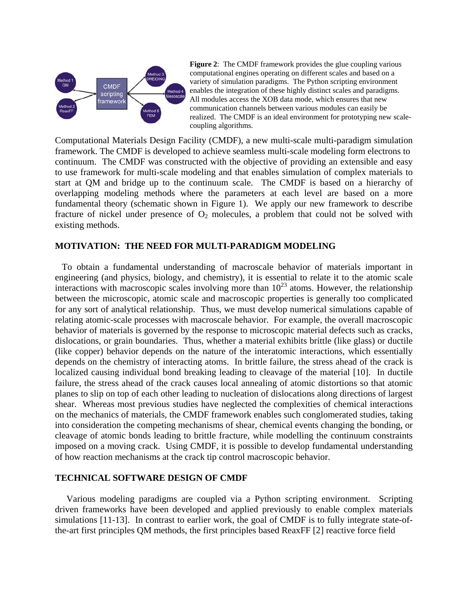

**Figure 2**: The CMDF framework provides the glue coupling various computational engines operating on different scales and based on a variety of simulation paradigms. The Python scripting environment enables the integration of these highly distinct scales and paradigms. All modules access the XOB data mode, which ensures that new communication channels between various modules can easily be realized. The CMDF is an ideal environment for prototyping new scalecoupling algorithms.

Computational Materials Design Facility (CMDF), a new multi-scale multi-paradigm simulation framework. The CMDF is developed to achieve seamless multi-scale modeling form electrons to continuum. The CMDF was constructed with the objective of providing an extensible and easy to use framework for multi-scale modeling and that enables simulation of complex materials to start at QM and bridge up to the continuum scale. The CMDF is based on a hierarchy of overlapping modeling methods where the parameters at each level are based on a more fundamental theory (schematic shown in Figure 1). We apply our new framework to describe fracture of nickel under presence of  $O_2$  molecules, a problem that could not be solved with existing methods.

# **MOTIVATION: THE NEED FOR MULTI-PARADIGM MODELING**

 To obtain a fundamental understanding of macroscale behavior of materials important in engineering (and physics, biology, and chemistry), it is essential to relate it to the atomic scale interactions with macroscopic scales involving more than  $10^{23}$  atoms. However, the relationship between the microscopic, atomic scale and macroscopic properties is generally too complicated for any sort of analytical relationship. Thus, we must develop numerical simulations capable of relating atomic-scale processes with macroscale behavior. For example, the overall macroscopic behavior of materials is governed by the response to microscopic material defects such as cracks, dislocations, or grain boundaries. Thus, whether a material exhibits brittle (like glass) or ductile (like copper) behavior depends on the nature of the interatomic interactions, which essentially depends on the chemistry of interacting atoms. In brittle failure, the stress ahead of the crack is localized causing individual bond breaking leading to cleavage of the material [10]. In ductile failure, the stress ahead of the crack causes local annealing of atomic distortions so that atomic planes to slip on top of each other leading to nucleation of dislocations along directions of largest shear. Whereas most previous studies have neglected the complexities of chemical interactions on the mechanics of materials, the CMDF framework enables such conglomerated studies, taking into consideration the competing mechanisms of shear, chemical events changing the bonding, or cleavage of atomic bonds leading to brittle fracture, while modelling the continuum constraints imposed on a moving crack. Using CMDF, it is possible to develop fundamental understanding of how reaction mechanisms at the crack tip control macroscopic behavior.

### **TECHNICAL SOFTWARE DESIGN OF CMDF**

 Various modeling paradigms are coupled via a Python scripting environment. Scripting driven frameworks have been developed and applied previously to enable complex materials simulations [11-13]. In contrast to earlier work, the goal of CMDF is to fully integrate state-ofthe-art first principles QM methods, the first principles based ReaxFF [2] reactive force field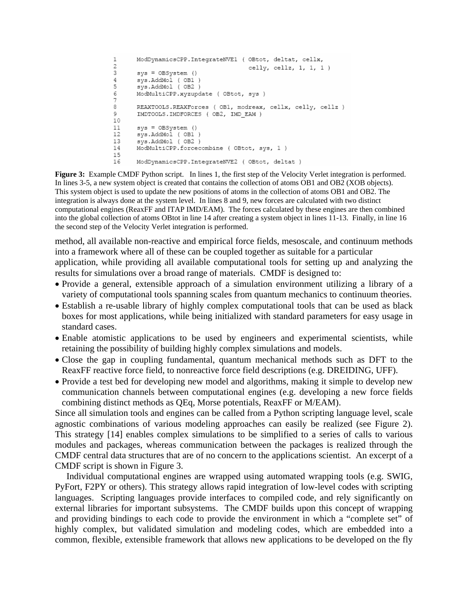```
ModDynamicsCPP.IntegrateNVE1 ( OBtot, deltat, cellx,
\mathbf{1}\overline{2}celly, cellz, 1, 1, 1)
3
      sys = OSystem()sys.AddMol ( OB1 )
4
5
      sys.AddMol ( OB2 )
      ModMultiCPP.xyzupdate (OBtot, sys )
6
7
      REAXTOOLS.REAXForces ( OB1, modreax, cellx, celly, cellz )
8
      IMDTOOLS.IMDFORCES ( OB2, IMD_EAM )
Q.
10sys = OSystem()11
12sys.AddMol ( OB1 )
      sys.AddMol ( OB2 )
1314ModMultiCPP.forcecombine (OBtot, sys, 1)
15
16
      ModDynamicsCPP.IntegrateNVE2 ( OBtot, deltat )
```
**Figure 3:** Example CMDF Python script. In lines 1, the first step of the Velocity Verlet integration is performed. In lines 3-5, a new system object is created that contains the collection of atoms OB1 and OB2 (XOB objects). This system object is used to update the new positions of atoms in the collection of atoms OB1 and OB2. The integration is always done at the system level. In lines 8 and 9, new forces are calculated with two distinct computational engines (ReaxFF and ITAP IMD/EAM). The forces calculated by these engines are then combined into the global collection of atoms OBtot in line 14 after creating a system object in lines 11-13. Finally, in line 16 the second step of the Velocity Verlet integration is performed.

method, all available non-reactive and empirical force fields, mesoscale, and continuum methods into a framework where all of these can be coupled together as suitable for a particular application, while providing all available computational tools for setting up and analyzing the results for simulations over a broad range of materials. CMDF is designed to:

- Provide a general, extensible approach of a simulation environment utilizing a library of a variety of computational tools spanning scales from quantum mechanics to continuum theories.
- Establish a re-usable library of highly complex computational tools that can be used as black boxes for most applications, while being initialized with standard parameters for easy usage in standard cases.
- Enable atomistic applications to be used by engineers and experimental scientists, while retaining the possibility of building highly complex simulations and models.
- Close the gap in coupling fundamental, quantum mechanical methods such as DFT to the ReaxFF reactive force field, to nonreactive force field descriptions (e.g. DREIDING, UFF).
- Provide a test bed for developing new model and algorithms, making it simple to develop new communication channels between computational engines (e.g. developing a new force fields combining distinct methods as QEq, Morse potentials, ReaxFF or M/EAM).

Since all simulation tools and engines can be called from a Python scripting language level, scale agnostic combinations of various modeling approaches can easily be realized (see Figure 2). This strategy [14] enables complex simulations to be simplified to a series of calls to various modules and packages, whereas communication between the packages is realized through the CMDF central data structures that are of no concern to the applications scientist. An excerpt of a CMDF script is shown in Figure 3.

 Individual computational engines are wrapped using automated wrapping tools (e.g. SWIG, PyFort, F2PY or others). This strategy allows rapid integration of low-level codes with scripting languages. Scripting languages provide interfaces to compiled code, and rely significantly on external libraries for important subsystems. The CMDF builds upon this concept of wrapping and providing bindings to each code to provide the environment in which a "complete set" of highly complex, but validated simulation and modeling codes, which are embedded into a common, flexible, extensible framework that allows new applications to be developed on the fly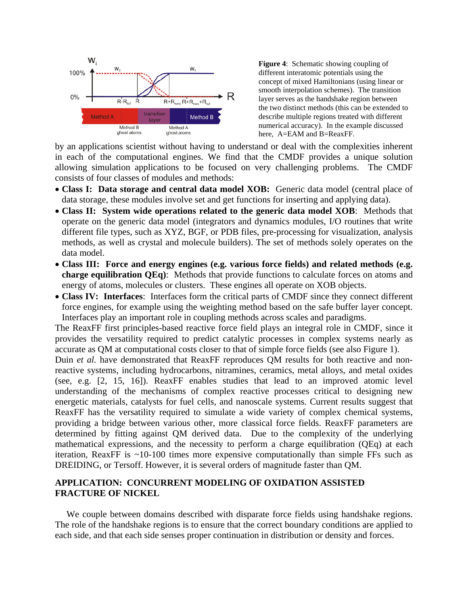

**Figure 4**: Schematic showing coupling of different interatomic potentials using the concept of mixed Hamiltonians (using linear or smooth interpolation schemes). The transition layer serves as the handshake region between the two distinct methods (this can be extended to describe multiple regions treated with different numerical accuracy). In the example discussed here, A=EAM and B=ReaxFF.

by an applications scientist without having to understand or deal with the complexities inherent in each of the computational engines. We find that the CMDF provides a unique solution allowing simulation applications to be focused on very challenging problems. The CMDF consists of four classes of modules and methods:

- **Class I: Data storage and central data model XOB:** Generic data model (central place of data storage, these modules involve set and get functions for inserting and applying data).
- **Class II: System wide operations related to the generic data model XOB**: Methods that operate on the generic data model (integrators and dynamics modules, I/O routines that write different file types, such as XYZ, BGF, or PDB files, pre-processing for visualization, analysis methods, as well as crystal and molecule builders). The set of methods solely operates on the data model.
- **Class III: Force and energy engines (e.g. various force fields) and related methods (e.g. charge equilibration QEq)**: Methods that provide functions to calculate forces on atoms and energy of atoms, molecules or clusters. These engines all operate on XOB objects.
- **Class IV: Interfaces**: Interfaces form the critical parts of CMDF since they connect different force engines, for example using the weighting method based on the safe buffer layer concept. Interfaces play an important role in coupling methods across scales and paradigms.

The ReaxFF first principles-based reactive force field plays an integral role in CMDF, since it provides the versatility required to predict catalytic processes in complex systems nearly as accurate as QM at computational costs closer to that of simple force fields (see also Figure 1).

Duin *et al.* have demonstrated that ReaxFF reproduces QM results for both reactive and nonreactive systems, including hydrocarbons, nitramines, ceramics, metal alloys, and metal oxides (see, e.g. [2, 15, 16]). ReaxFF enables studies that lead to an improved atomic level understanding of the mechanisms of complex reactive processes critical to designing new energetic materials, catalysts for fuel cells, and nanoscale systems. Current results suggest that ReaxFF has the versatility required to simulate a wide variety of complex chemical systems, providing a bridge between various other, more classical force fields. ReaxFF parameters are determined by fitting against QM derived data. Due to the complexity of the underlying mathematical expressions, and the necessity to perform a charge equilibration (QEq) at each iteration, ReaxFF is ~10-100 times more expensive computationally than simple FFs such as DREIDING, or Tersoff. However, it is several orders of magnitude faster than QM.

# **APPLICATION: CONCURRENT MODELING OF OXIDATION ASSISTED FRACTURE OF NICKEL**

We couple between domains described with disparate force fields using handshake regions. The role of the handshake regions is to ensure that the correct boundary conditions are applied to each side, and that each side senses proper continuation in distribution or density and forces.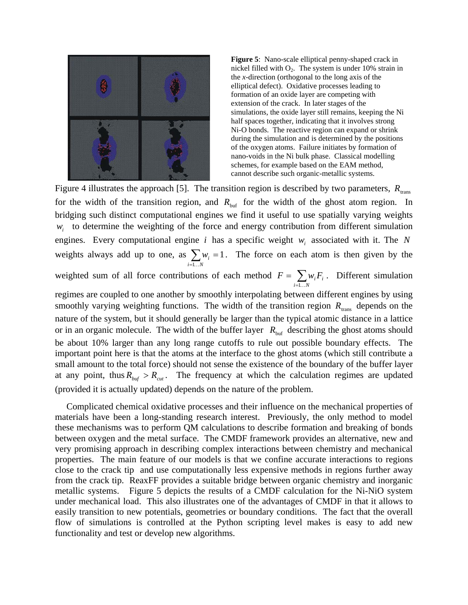

**Figure 5**: Nano-scale elliptical penny-shaped crack in nickel filled with  $O_2$ . The system is under 10% strain in the *x*-direction (orthogonal to the long axis of the elliptical defect). Oxidative processes leading to formation of an oxide layer are competing with extension of the crack. In later stages of the simulations, the oxide layer still remains, keeping the Ni half spaces together, indicating that it involves strong Ni-O bonds. The reactive region can expand or shrink during the simulation and is determined by the positions of the oxygen atoms. Failure initiates by formation of nano-voids in the Ni bulk phase. Classical modelling schemes, for example based on the EAM method, cannot describe such organic-metallic systems.

Figure 4 illustrates the approach [5]. The transition region is described by two parameters,  $R_{trans}$ for the width of the transition region, and  $R_{\text{buf}}$  for the width of the ghost atom region. In bridging such distinct computational engines we find it useful to use spatially varying weights  $w<sub>i</sub>$  to determine the weighting of the force and energy contribution from different simulation engines. Every computational engine *i* has a specific weight *wi* associated with it. The *N* weights always add up to one, as  $\sum w_i = 1$  $\sum_{i=1...N} w_i =$ ... . The force on each atom is then given by the weighted sum of all force contributions of each method  $F = \sum_{i=1...i}$ *i N*  $F = \sum w_i F_i$  $1\dots$ . Different simulation regimes are coupled to one another by smoothly interpolating between different engines by using smoothly varying weighting functions. The width of the transition region  $R_{\text{trans}}$  depends on the nature of the system, but it should generally be larger than the typical atomic distance in a lattice or in an organic molecule. The width of the buffer layer  $R_{\text{buf}}$  describing the ghost atoms should be about 10% larger than any long range cutoffs to rule out possible boundary effects. The important point here is that the atoms at the interface to the ghost atoms (which still contribute a small amount to the total force) should not sense the existence of the boundary of the buffer layer at any point, thus  $R_{\text{buf}} > R_{\text{cut}}$ . The frequency at which the calculation regimes are updated (provided it is actually updated) depends on the nature of the problem.

 Complicated chemical oxidative processes and their influence on the mechanical properties of materials have been a long-standing research interest. Previously, the only method to model these mechanisms was to perform QM calculations to describe formation and breaking of bonds between oxygen and the metal surface. The CMDF framework provides an alternative, new and very promising approach in describing complex interactions between chemistry and mechanical properties. The main feature of our models is that we confine accurate interactions to regions close to the crack tip and use computationally less expensive methods in regions further away from the crack tip. ReaxFF provides a suitable bridge between organic chemistry and inorganic metallic systems. Figure 5 depicts the results of a CMDF calculation for the Ni-NiO system under mechanical load. This also illustrates one of the advantages of CMDF in that it allows to easily transition to new potentials, geometries or boundary conditions. The fact that the overall flow of simulations is controlled at the Python scripting level makes is easy to add new functionality and test or develop new algorithms.